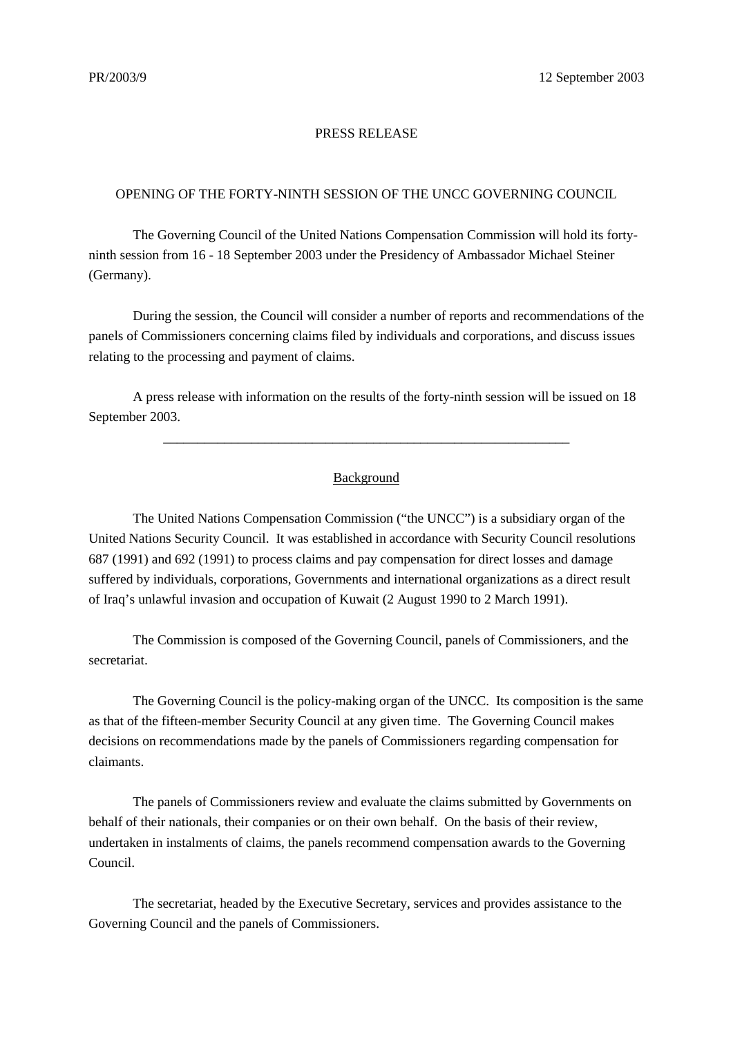## PRESS RELEASE

## OPENING OF THE FORTY-NINTH SESSION OF THE UNCC GOVERNING COUNCIL

The Governing Council of the United Nations Compensation Commission will hold its fortyninth session from 16 - 18 September 2003 under the Presidency of Ambassador Michael Steiner (Germany).

During the session, the Council will consider a number of reports and recommendations of the panels of Commissioners concerning claims filed by individuals and corporations, and discuss issues relating to the processing and payment of claims.

A press release with information on the results of the forty-ninth session will be issued on 18 September 2003.

## Background

\_\_\_\_\_\_\_\_\_\_\_\_\_\_\_\_\_\_\_\_\_\_\_\_\_\_\_\_\_\_\_\_\_\_\_\_\_\_\_\_\_\_\_\_\_\_\_\_\_\_\_\_\_\_\_\_\_\_\_\_

The United Nations Compensation Commission ("the UNCC") is a subsidiary organ of the United Nations Security Council. It was established in accordance with Security Council resolutions 687 (1991) and 692 (1991) to process claims and pay compensation for direct losses and damage suffered by individuals, corporations, Governments and international organizations as a direct result of Iraq's unlawful invasion and occupation of Kuwait (2 August 1990 to 2 March 1991).

The Commission is composed of the Governing Council, panels of Commissioners, and the secretariat.

The Governing Council is the policy-making organ of the UNCC. Its composition is the same as that of the fifteen-member Security Council at any given time. The Governing Council makes decisions on recommendations made by the panels of Commissioners regarding compensation for claimants.

The panels of Commissioners review and evaluate the claims submitted by Governments on behalf of their nationals, their companies or on their own behalf. On the basis of their review, undertaken in instalments of claims, the panels recommend compensation awards to the Governing Council.

The secretariat, headed by the Executive Secretary, services and provides assistance to the Governing Council and the panels of Commissioners.